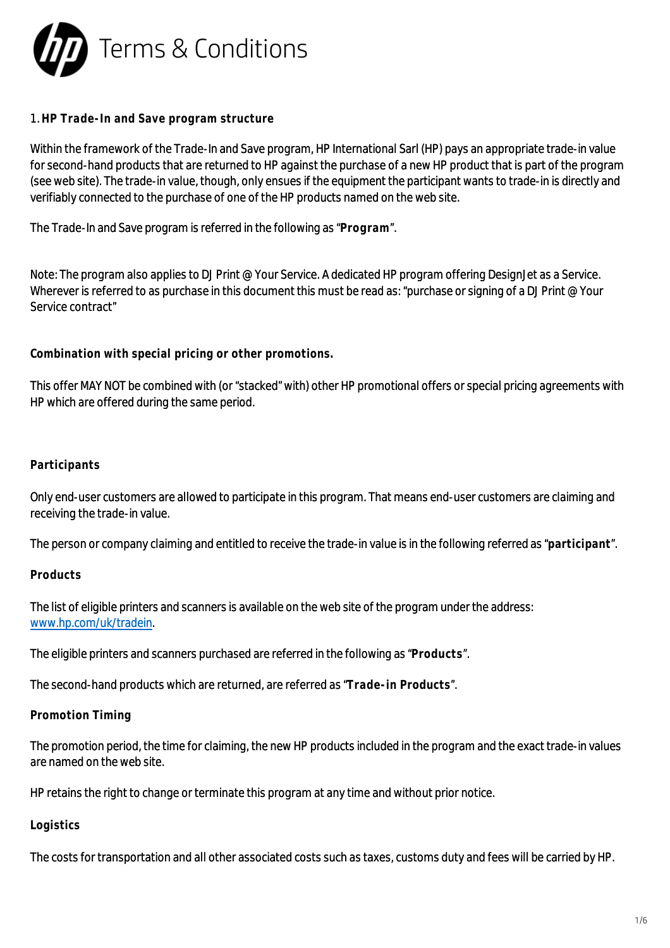

### 1. **HP Trade-In and Save program structure**

Within the framework of the Trade-In and Save program, HP International Sarl (HP) pays an appropriate trade-in value for second-hand products that are returned to HP against the purchase of a new HP product that is part of the program (see web site). The trade-in value, though, only ensues if the equipment the participant wants to trade-in is directly and verifiably connected to the purchase of one of the HP products named on the web site.

The Trade-In and Save program is referred in the following as "**Program**".

Note: The program also applies to DJ Print @ Your Service. A dedicated HP program offering DesignJet as a Service. Wherever is referred to as purchase in this document this must be read as: "purchase or signing of a DJ Print @ Your Service contract"

**Combination with special pricing or other promotions.**

This offer MAY NOT be combined with (or "stacked" with) other HP promotional offers or special pricing agreements with HP which are offered during the same period.

#### **Participants**

Only end-user customers are allowed to participate in this program. That means end-user customers are claiming and receiving the trade-in value.

The person or company claiming and entitled to receive the trade-in value is in the following referred as "**participant**".

**Products**

The list of eligible printers and scanners is available on the web site of the program under the address: [www.hp.com/uk/tradein](http://www.hp.com/uk/tradein).

The eligible printers and scanners purchased are referred in the following as "**Products**".

The second-hand products which are returned, are referred as "**Trade-in Products**".

#### **Promotion Timing**

The promotion period, the time for claiming, the new HP products included in the program and the exact trade-in values are named on the web site.

HP retains the right to change or terminate this program at any time and without prior notice.

#### **Logistics**

The costs for transportation and all other associated costs such as taxes, customs duty and fees will be carried by HP.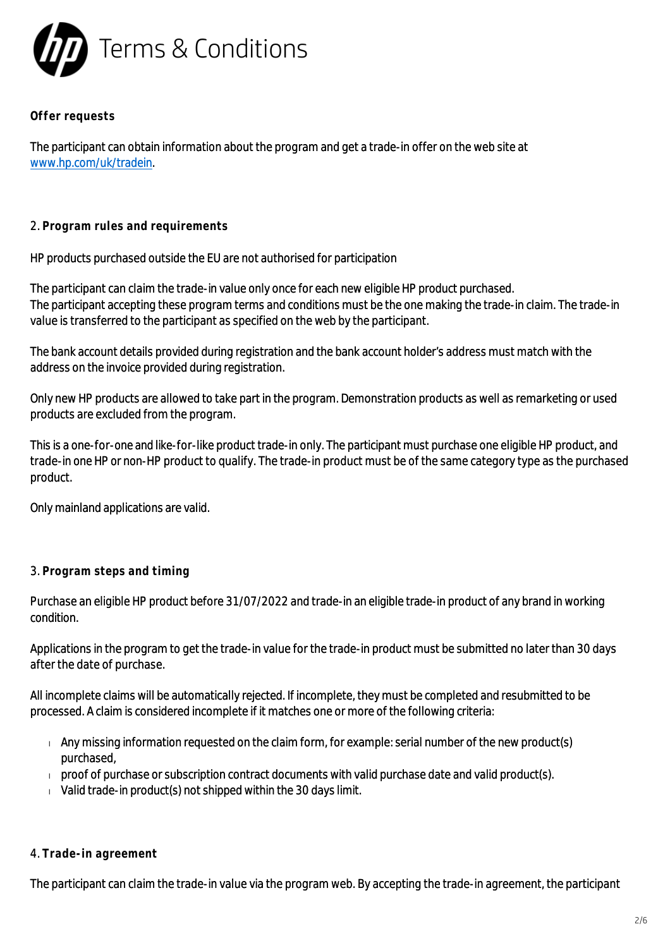

**Offer requests**

The participant can obtain information about the program and get a trade-in offer on the web site at [www.hp.com/uk/tradein](http://www.hp.com/uk/tradein).

### 2. **Program rules and requirements**

HP products purchased outside the EU are not authorised for participation

The participant can claim the trade-in value only once for each new eligible HP product purchased. The participant accepting these program terms and conditions must be the one making the trade-in claim. The trade-in value is transferred to the participant as specified on the web by the participant.

The bank account details provided during registration and the bank account holder's address must match with the address on the invoice provided during registration.

Only new HP products are allowed to take part in the program. Demonstration products as well as remarketing or used products are excluded from the program.

This is a one-for-one and like-for-like product trade-in only. The participant must purchase one eligible HP product, and trade-in one HP or non-HP product to qualify. The trade-in product must be of the same category type as the purchased product.

Only mainland applications are valid.

#### 3. **Program steps and timing**

Purchase an eligible HP product before 31/07/2022 and trade-in an eligible trade-in product of any brand in working condition.

Applications in the program to get the trade-in value for the trade-in product must be submitted no later than 30 days after the date of purchase.

All incomplete claims will be automatically rejected. If incomplete, they must be completed and resubmitted to be processed. A claim is considered incomplete if it matches one or more of the following criteria:

- $\Box$  Any missing information requested on the claim form, for example: serial number of the new product(s) purchased,
- $\Box$  proof of purchase or subscription contract documents with valid purchase date and valid product(s).
- $\sqrt{V}$  Valid trade-in product(s) not shipped within the 30 days limit.

#### 4. **Trade-in agreement**

The participant can claim the trade-in value via the program web. By accepting the trade-in agreement, the participant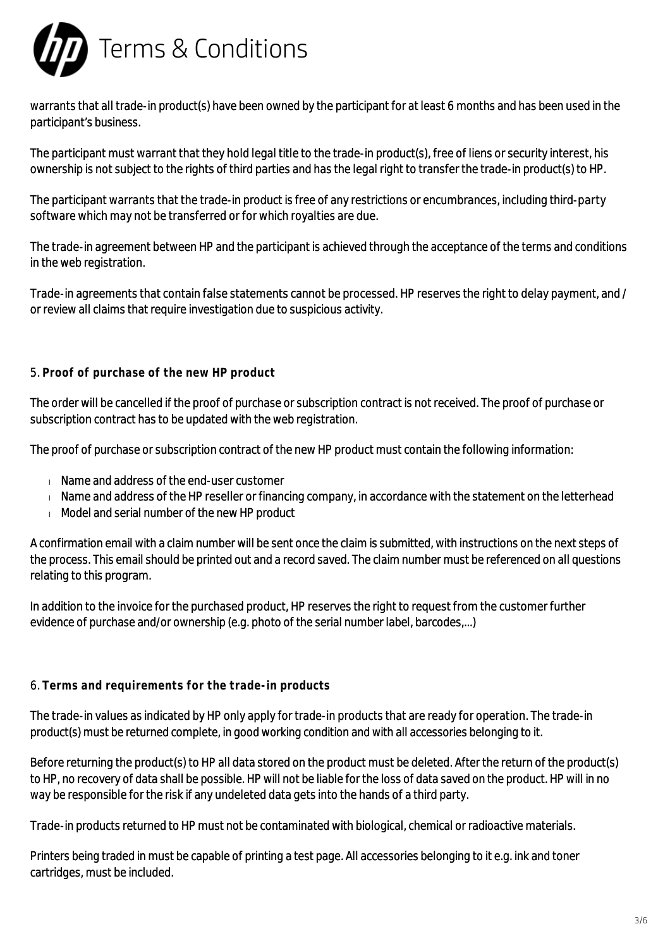

warrants that all trade-in product(s) have been owned by the participant for at least 6 months and has been used in the participant's business.

The participant must warrant that they hold legal title to the trade-in product(s), free of liens or security interest, his ownership is not subject to the rights of third parties and has the legal right to transfer the trade-in product(s) to HP.

The participant warrants that the trade-in product is free of any restrictions or encumbrances, including third-party software which may not be transferred or for which royalties are due.

The trade-in agreement between HP and the participant is achieved through the acceptance of the terms and conditions in the web registration.

Trade-in agreements that contain false statements cannot be processed. HP reserves the right to delay payment, and / or review all claims that require investigation due to suspicious activity.

### 5. **Proof of purchase of the new HP product**

The order will be cancelled if the proof of purchase or subscription contract is not received. The proof of purchase or subscription contract has to be updated with the web registration.

The proof of purchase or subscription contract of the new HP product must contain the following information:

- Name and address of the end-user customer
- $\blacksquare$  Name and address of the HP reseller or financing company, in accordance with the statement on the letterhead
- Model and serial number of the new HP product

A confirmation email with a claim number will be sent once the claim is submitted, with instructions on the next steps of the process. This email should be printed out and a record saved. The claim number must be referenced on all questions relating to this program.

In addition to the invoice for the purchased product, HP reserves the right to request from the customer further evidence of purchase and/or ownership (e.g. photo of the serial number label, barcodes,...)

#### 6. **Terms and requirements for the trade-in products**

The trade-in values as indicated by HP only apply for trade-in products that are ready for operation. The trade-in product(s) must be returned complete, in good working condition and with all accessories belonging to it.

Before returning the product(s) to HP all data stored on the product must be deleted. After the return of the product(s) to HP, no recovery of data shall be possible. HP will not be liable for the loss of data saved on the product. HP will in no way be responsible for the risk if any undeleted data gets into the hands of a third party.

Trade-in products returned to HP must not be contaminated with biological, chemical or radioactive materials.

Printers being traded in must be capable of printing a test page. All accessories belonging to it e.g. ink and toner cartridges, must be included.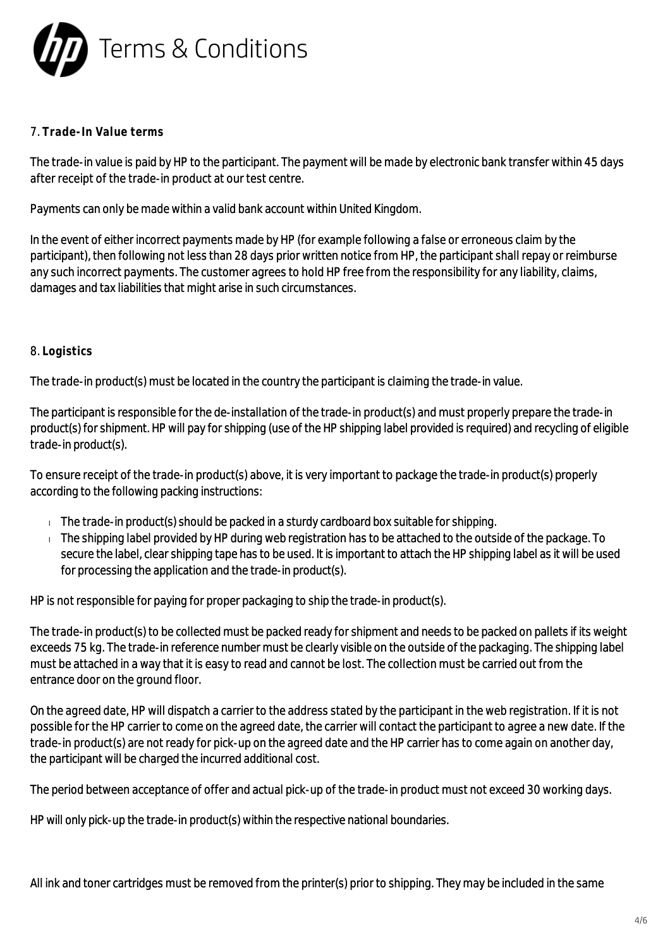

## 7. **Trade-In Value terms**

The trade-in value is paid by HP to the participant. The payment will be made by electronic bank transfer within 45 days after receipt of the trade-in product at our test centre.

Payments can only be made within a valid bank account within United Kingdom.

In the event of either incorrect payments made by HP (for example following a false or erroneous claim by the participant), then following not less than 28 days prior written notice from HP, the participant shall repay or reimburse any such incorrect payments. The customer agrees to hold HP free from the responsibility for any liability, claims, damages and tax liabilities that might arise in such circumstances.

### 8. **Logistics**

The trade-in product(s) must be located in the country the participant is claiming the trade-in value.

The participant is responsible for the de-installation of the trade-in product(s) and must properly prepare the trade-in product(s) for shipment. HP will pay for shipping (use of the HP shipping label provided is required) and recycling of eligible trade-in product(s).

To ensure receipt of the trade-in product(s) above, it is very important to package the trade-in product(s) properly according to the following packing instructions:

- $\Box$  The trade-in product(s) should be packed in a sturdy cardboard box suitable for shipping.
- $\blacksquare$  The shipping label provided by HP during web registration has to be attached to the outside of the package. To secure the label, clear shipping tape has to be used. It is important to attach the HP shipping label as it will be used for processing the application and the trade-in product(s).

HP is not responsible for paying for proper packaging to ship the trade-in product(s).

The trade-in product(s) to be collected must be packed ready for shipment and needs to be packed on pallets if its weight exceeds 75 kg. The trade-in reference number must be clearly visible on the outside of the packaging. The shipping label must be attached in a way that it is easy to read and cannot be lost. The collection must be carried out from the entrance door on the ground floor.

On the agreed date, HP will dispatch a carrier to the address stated by the participant in the web registration. If it is not possible for the HP carrier to come on the agreed date, the carrier will contact the participant to agree a new date. If the trade-in product(s) are not ready for pick-up on the agreed date and the HP carrier has to come again on another day, the participant will be charged the incurred additional cost.

The period between acceptance of offer and actual pick-up of the trade-in product must not exceed 30 working days.

HP will only pick-up the trade-in product(s) within the respective national boundaries.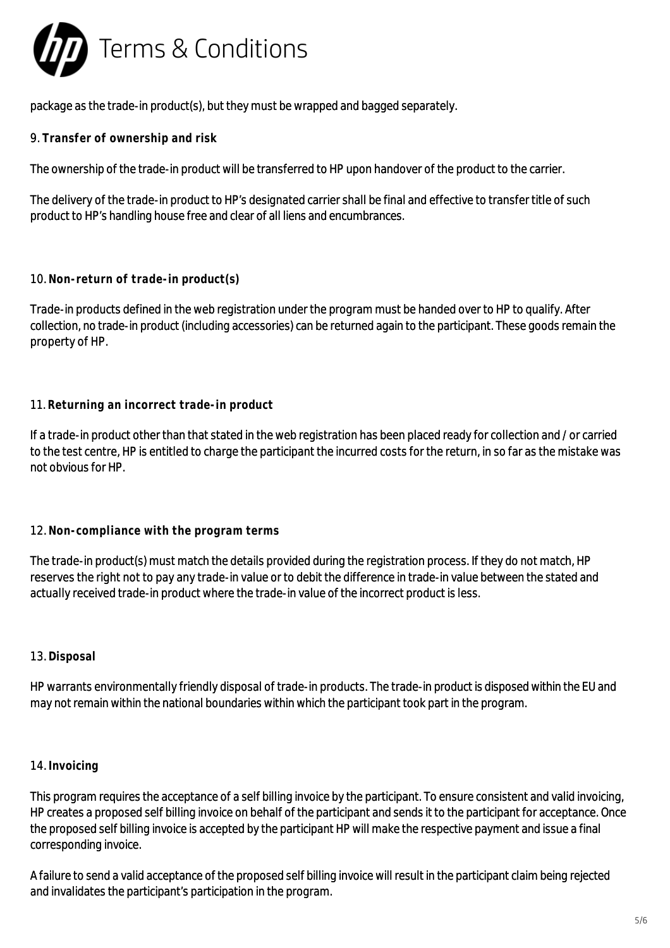

package as the trade-in product(s), but they must be wrapped and bagged separately.

9. **Transfer of ownership and risk**

The ownership of the trade-in product will be transferred to HP upon handover of the product to the carrier.

The delivery of the trade-in product to HP's designated carrier shall be final and effective to transfer title of such product to HP's handling house free and clear of all liens and encumbrances.

### 10. **Non-return of trade-in product(s)**

Trade-in products defined in the web registration under the program must be handed over to HP to qualify. After collection, no trade-in product (including accessories) can be returned again to the participant. These goods remain the property of HP.

# 11. **Returning an incorrect trade-in product**

If a trade-in product other than that stated in the web registration has been placed ready for collection and / or carried to the test centre, HP is entitled to charge the participant the incurred costs for the return, in so far as the mistake was not obvious for HP.

#### 12. **Non-compliance with the program terms**

The trade-in product(s) must match the details provided during the registration process. If they do not match, HP reserves the right not to pay any trade-in value or to debit the difference in trade-in value between the stated and actually received trade-in product where the trade-in value of the incorrect product is less.

# 13. **Disposal**

HP warrants environmentally friendly disposal of trade-in products. The trade-in product is disposed within the EU and may not remain within the national boundaries within which the participant took part in the program.

#### 14. **Invoicing**

This program requires the acceptance of a self billing invoice by the participant. To ensure consistent and valid invoicing, HP creates a proposed self billing invoice on behalf of the participant and sends it to the participant for acceptance. Once the proposed self billing invoice is accepted by the participant HP will make the respective payment and issue a final corresponding invoice.

A failure to send a valid acceptance of the proposed self billing invoice will result in the participant claim being rejected and invalidates the participant's participation in the program.